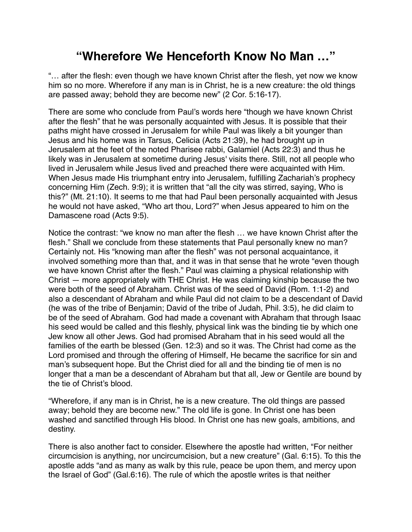## **"Wherefore We Henceforth Know No Man …"**

"… after the flesh: even though we have known Christ after the flesh, yet now we know him so no more. Wherefore if any man is in Christ, he is a new creature: the old things are passed away; behold they are become new" (2 Cor. 5:16-17).

There are some who conclude from Paul's words here "though we have known Christ after the flesh" that he was personally acquainted with Jesus. It is possible that their paths might have crossed in Jerusalem for while Paul was likely a bit younger than Jesus and his home was in Tarsus, Celicia (Acts 21:39), he had brought up in Jerusalem at the feet of the noted Pharisee rabbi, Galamiel (Acts 22:3) and thus he likely was in Jerusalem at sometime during Jesus' visits there. Still, not all people who lived in Jerusalem while Jesus lived and preached there were acquainted with Him. When Jesus made His triumphant entry into Jerusalem, fulfilling Zachariah's prophecy concerning Him (Zech. 9:9); it is written that "all the city was stirred, saying, Who is this?" (Mt. 21:10). It seems to me that had Paul been personally acquainted with Jesus he would not have asked, "Who art thou, Lord?" when Jesus appeared to him on the Damascene road (Acts 9:5).

Notice the contrast: "we know no man after the flesh … we have known Christ after the flesh." Shall we conclude from these statements that Paul personally knew no man? Certainly not. His "knowing man after the flesh" was not personal acquaintance, it involved something more than that, and it was in that sense that he wrote "even though we have known Christ after the flesh." Paul was claiming a physical relationship with Christ — more appropriately with THE Christ. He was claiming kinship because the two were both of the seed of Abraham. Christ was of the seed of David (Rom. 1:1-2) and also a descendant of Abraham and while Paul did not claim to be a descendant of David (he was of the tribe of Benjamin; David of the tribe of Judah, Phil. 3:5), he did claim to be of the seed of Abraham. God had made a covenant with Abraham that through Isaac his seed would be called and this fleshly, physical link was the binding tie by which one Jew know all other Jews. God had promised Abraham that in his seed would all the families of the earth be blessed (Gen. 12:3) and so it was. The Christ had come as the Lord promised and through the offering of Himself, He became the sacrifice for sin and man's subsequent hope. But the Christ died for all and the binding tie of men is no longer that a man be a descendant of Abraham but that all, Jew or Gentile are bound by the tie of Christ's blood.

"Wherefore, if any man is in Christ, he is a new creature. The old things are passed away; behold they are become new." The old life is gone. In Christ one has been washed and sanctified through His blood. In Christ one has new goals, ambitions, and destiny.

There is also another fact to consider. Elsewhere the apostle had written, "For neither circumcision is anything, nor uncircumcision, but a new creature" (Gal. 6:15). To this the apostle adds "and as many as walk by this rule, peace be upon them, and mercy upon the Israel of God" (Gal.6:16). The rule of which the apostle writes is that neither